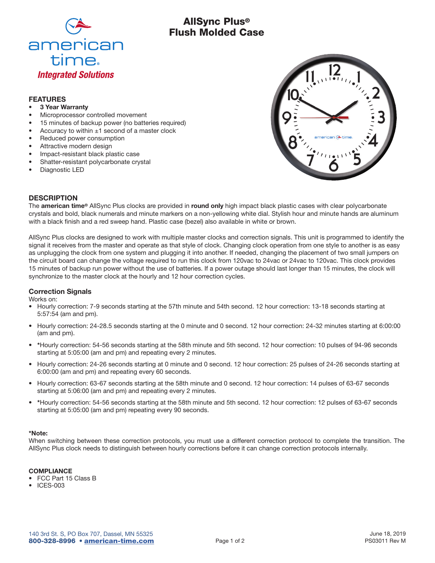

# AllSync Plus® Flush Molded Case

# FEATURES

- 3 Year Warranty
- Microprocessor controlled movement
- 15 minutes of backup power (no batteries required)
- Accuracy to within  $±1$  second of a master clock
- Reduced power consumption
- Attractive modern design
- Impact-resistant black plastic case
- Shatter-resistant polycarbonate crystal
- Diagnostic LED



# **DESCRIPTION**

The american time® AllSync Plus clocks are provided in round only high impact black plastic cases with clear polycarbonate crystals and bold, black numerals and minute markers on a non-yellowing white dial. Stylish hour and minute hands are aluminum with a black finish and a red sweep hand. Plastic case (bezel) also available in white or brown.

AllSync Plus clocks are designed to work with multiple master clocks and correction signals. This unit is programmed to identify the signal it receives from the master and operate as that style of clock. Changing clock operation from one style to another is as easy as unplugging the clock from one system and plugging it into another. If needed, changing the placement of two small jumpers on the circuit board can change the voltage required to run this clock from 120vac to 24vac or 24vac to 120vac. This clock provides 15 minutes of backup run power without the use of batteries. If a power outage should last longer than 15 minutes, the clock will synchronize to the master clock at the hourly and 12 hour correction cycles.

## **Correction Signals**

Works on:

- Hourly correction: 7-9 seconds starting at the 57th minute and 54th second. 12 hour correction: 13-18 seconds starting at 5:57:54 (am and pm).
- Hourly correction: 24-28.5 seconds starting at the 0 minute and 0 second. 12 hour correction: 24-32 minutes starting at 6:00:00 (am and pm).
- \*Hourly correction: 54-56 seconds starting at the 58th minute and 5th second. 12 hour correction: 10 pulses of 94-96 seconds starting at 5:05:00 (am and pm) and repeating every 2 minutes.
- Hourly correction: 24-26 seconds starting at 0 minute and 0 second. 12 hour correction: 25 pulses of 24-26 seconds starting at 6:00:00 (am and pm) and repeating every 60 seconds.
- Hourly correction: 63-67 seconds starting at the 58th minute and 0 second. 12 hour correction: 14 pulses of 63-67 seconds starting at 5:06:00 (am and pm) and repeating every 2 minutes.
- \*Hourly correction: 54-56 seconds starting at the 58th minute and 5th second. 12 hour correction: 12 pulses of 63-67 seconds starting at 5:05:00 (am and pm) repeating every 90 seconds.

#### \*Note:

When switching between these correction protocols, you must use a different correction protocol to complete the transition. The AllSync Plus clock needs to distinguish between hourly corrections before it can change correction protocols internally.

#### **COMPLIANCE**

- FCC Part 15 Class B
- ICES-003